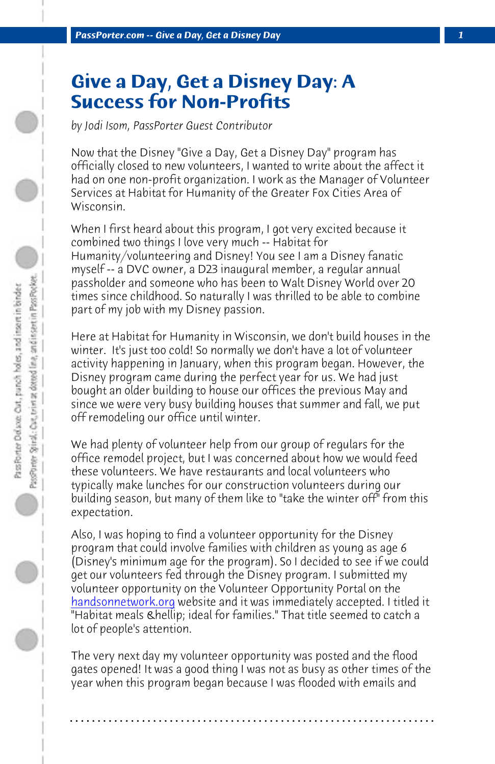*PassPorter.com -- Give a Day, Get a Disney Day 1*

## **Give a Day, Get a Disney Day: A Success for Non-Profits**

*by Jodi Isom, PassPorter Guest Contributor*

Now that the Disney "Give a Day, Get a Disney Day" program has officially closed to new volunteers, I wanted to write about the affect it had on one non-profit organization. I work as the Manager of Volunteer Services at Habitat for Humanity of the Greater Fox Cities Area of Wisconsin.

When I first heard about this program, I got very excited because it combined two things I love very much -- Habitat for Humanity/volunteering and Disney! You see I am a Disney fanatic myself -- a DVC owner, a D23 inaugural member, a regular annual passholder and someone who has been to Walt Disney World over 20 times since childhood. So naturally I was thrilled to be able to combine part of my job with my Disney passion.

Here at Habitat for Humanity in Wisconsin, we don't build houses in the winter. It's just too cold! So normally we don't have a lot of volunteer activity happening in January, when this program began. However, the [Disney program cam](http://www.handsonnetwork.org)e during the perfect year for us. We had just bought an older building to house our offices the previous May and since we were very busy building houses that summer and fall, we put off remodeling our office until winter.

We had plenty of volunteer help from our group of regulars for the office remodel project, but I was concerned about how we would feed these volunteers. We have restaurants and local volunteers who typically make lunches for our construction volunteers during our building season, but many of them like to "take the winter off" from this expectation.

Also, I was hoping to find a volunteer opportunity for the Disney program that could involve families with children as young as age 6 (Disney's minimum age for the program). So I decided to see if we could get our volunteers fed through the Disney program. I submitted my volunteer opportunity on the Volunteer Opportunity Portal on the handsonnetwork.org website and it was immediately accepted. I titled it "Habitat meals **… ideal for families."** That title seemed to catch a lot of people's attention.

The very next day my volunteer opportunity was posted and the flood gates opened! It was a good thing I was not as busy as other times of the year when this program began because I was flooded with emails and

**. . . . . . . . . . . . . . . . . . . . . . . . . . . . . . . . . . . . . . . . . . . . . . . . . . . . . . . . . . . . . . . . . .**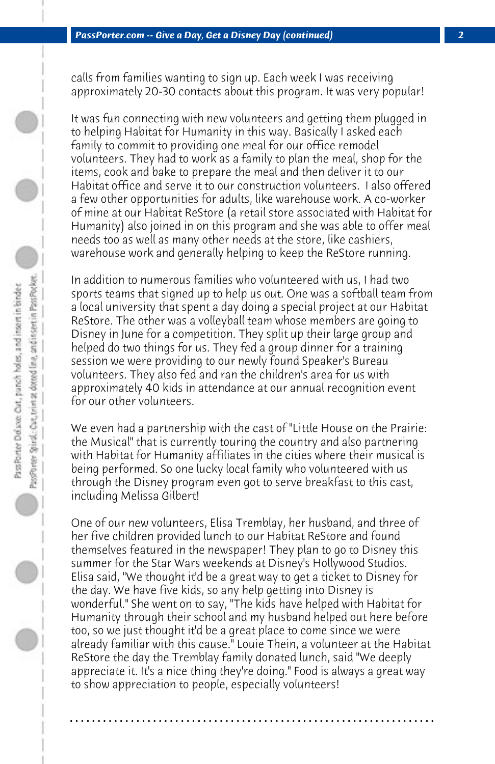calls from families wanting to sign up. Each week I was receiving approximately 20-30 contacts about this program. It was very popular!

It was fun connecting with new volunteers and getting them plugged in to helping Habitat for Humanity in this way. Basically I asked each family to commit to providing one meal for our office remodel volunteers. They had to work as a family to plan the meal, shop for the items, cook and bake to prepare the meal and then deliver it to our Habitat office and serve it to our construction volunteers. I also offered a few other opportunities for adults, like warehouse work. A co-worker of mine at our Habitat ReStore (a retail store associated with Habitat for Humanity) also joined in on this program and she was able to offer meal needs too as well as many other needs at the store, like cashiers, warehouse work and generally helping to keep the ReStore running.

In addition to numerous families who volunteered with us, I had two sports teams that signed up to help us out. One was a softball team from a local university that spent a day doing a special project at our Habitat ReStore. The other was a volleyball team whose members are going to Disney in June for a competition. They split up their large group and helped do two things for us. They fed a group dinner for a training session we were providing to our newly found Speaker's Bureau volunteers. They also fed and ran the children's area for us with approximately 40 kids in attendance at our annual recognition event for our other volunteers.

We even had a partnership with the cast of "Little House on the Prairie: the Musical" that is currently touring the country and also partnering with Habitat for Humanity affiliates in the cities where their musical is being performed. So one lucky local family who volunteered with us through the Disney program even got to serve breakfast to this cast, including Melissa Gilbert!

One of our new volunteers, Elisa Tremblay, her husband, and three of her five children provided lunch to our Habitat ReStore and found themselves featured in the newspaper! They plan to go to Disney this summer for the Star Wars weekends at Disney's Hollywood Studios. Elisa said, "We thought it'd be a great way to get a ticket to Disney for the day. We have five kids, so any help getting into Disney is wonderful." She went on to say, "The kids have helped with Habitat for Humanity through their school and my husband helped out here before too, so we just thought it'd be a great place to come since we were already familiar with this cause." Louie Thein, a volunteer at the Habitat ReStore the day the Tremblay family donated lunch, said "We deeply appreciate it. It's a nice thing they're doing." Food is always a great way to show appreciation to people, especially volunteers!

**. . . . . . . . . . . . . . . . . . . . . . . . . . . . . . . . . . . . . . . . . . . . . . . . . . . . . . . . . . . . . . . . . .**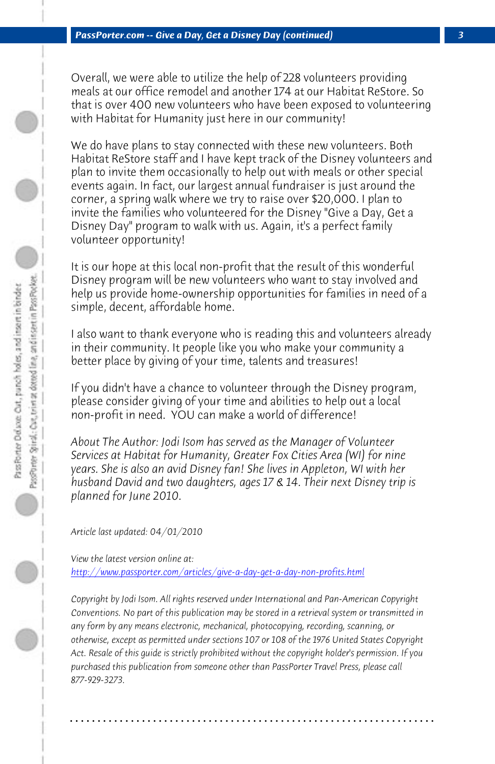*PassPorter.com -- Give a Day, Get a Disney Day (continued) 3*

Overall, we were able to utilize the help of 228 volunteers providing meals at our office remodel and another 174 at our Habitat ReStore. So that is over 400 new volunteers who have been exposed to volunteering with Habitat for Humanity just here in our community!

We do have plans to stay connected with these new volunteers. Both Habitat ReStore staff and I have kept track of the Disney volunteers and plan to invite them occasionally to help out with meals or other special events again. In fact, our largest annual fundraiser is just around the corner, a spring walk where we try to raise over \$20,000. I plan to invite the families who volunteered for the Disney "Give a Day, Get a Disney Day" program to walk with us. Again, it's a perfect family volunteer opportunity!

It is our hope at this local non-profit that the result of this wonderful Disney program will be new volunteers who want to stay involved and help us provide home-ownership opportunities for families in need of a simple, decent, affordable home.

I also want to thank everyone who is reading this and volunteers already [in their community. It people like you who make your comm](http://www.passporter.com/articles/give-a-day-get-a-day-non-profits.php)unity a better place by giving of your time, talents and treasures!

If you didn't have a chance to volunteer through the Disney program, please consider giving of your time and abilities to help out a local non-profit in need. YOU can make a world of difference!

*About The Author: Jodi Isom has served as the Manager of Volunteer Services at Habitat for Humanity, Greater Fox Cities Area (WI) for nine years. She is also an avid Disney fan! She lives in Appleton, WI with her husband David and two daughters, ages 17 & 14. Their next Disney trip is planned for June 2010.*

*Article last updated: 04/01/2010*

*View the latest version online at: http://www.passporter.com/articles/give-a-day-get-a-day-non-profits.html*

*Copyright by Jodi Isom. All rights reserved under International and Pan-American Copyright Conventions. No part of this publication may be stored in a retrieval system or transmitted in any form by any means electronic, mechanical, photocopying, recording, scanning, or otherwise, except as permitted under sections 107 or 108 of the 1976 United States Copyright Act. Resale of this guide is strictly prohibited without the copyright holder's permission. If you purchased this publication from someone other than PassPorter Travel Press, please call 877-929-3273.*

**. . . . . . . . . . . . . . . . . . . . . . . . . . . . . . . . . . . . . . . . . . . . . . . . . . . . . . . . . . . . . . . . . .**